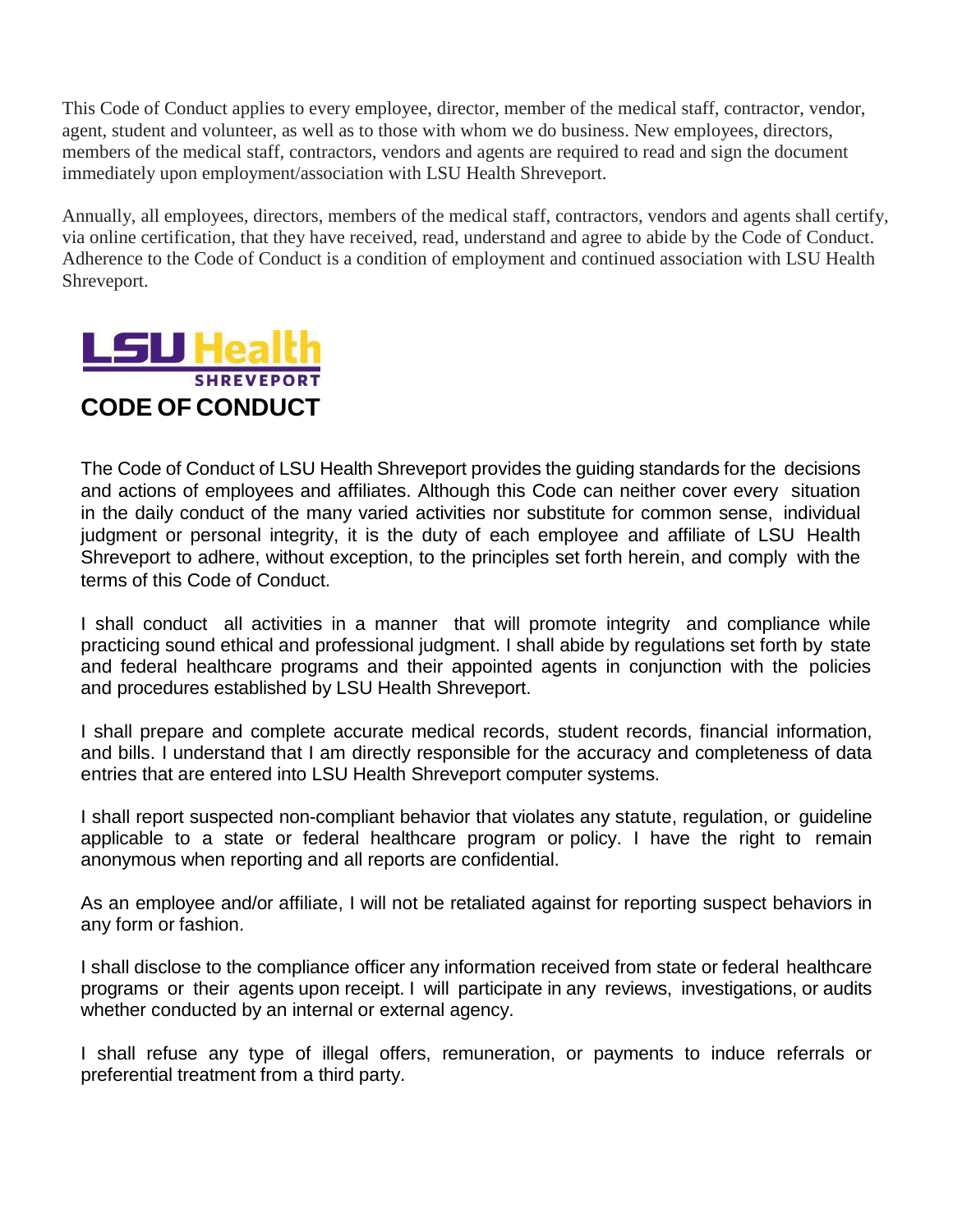This Code of Conduct applies to every employee, director, member of the medical staff, contractor, vendor, agent, student and volunteer, as well as to those with whom we do business. New employees, directors, members of the medical staff, contractors, vendors and agents are required to read and sign the document immediately upon employment/association with LSU Health Shreveport.

Annually, all employees, directors, members of the medical staff, contractors, vendors and agents shall certify, via online certification, that they have received, read, understand and agree to abide by the Code of Conduct. Adherence to the Code of Conduct is a condition of employment and continued association with LSU Health Shreveport.



The Code of Conduct of LSU Health Shreveport provides the guiding standards for the decisions and actions of employees and affiliates. Although this Code can neither cover every situation in the daily conduct of the many varied activities nor substitute for common sense, individual judgment or personal integrity, it is the duty of each employee and affiliate of LSU Health Shreveport to adhere, without exception, to the principles set forth herein, and comply with the terms of this Code of Conduct.

I shall conduct all activities in a manner that will promote integrity and compliance while practicing sound ethical and professional judgment. I shall abide by regulations set forth by state and federal healthcare programs and their appointed agents in conjunction with the policies and procedures established by LSU Health Shreveport.

I shall prepare and complete accurate medical records, student records, financial information, and bills. I understand that I am directly responsible for the accuracy and completeness of data entries that are entered into LSU Health Shreveport computer systems.

I shall report suspected non-compliant behavior that violates any statute, regulation, or guideline applicable to a state or federal healthcare program or policy. I have the right to remain anonymous when reporting and all reports are confidential.

As an employee and/or affiliate, I will not be retaliated against for reporting suspect behaviors in any form or fashion.

I shall disclose to the compliance officer any information received from state or federal healthcare programs or their agents upon receipt. I will participate in any reviews, investigations, or audits whether conducted by an internal or external agency.

I shall refuse any type of illegal offers, remuneration, or payments to induce referrals or preferential treatment from a third party.